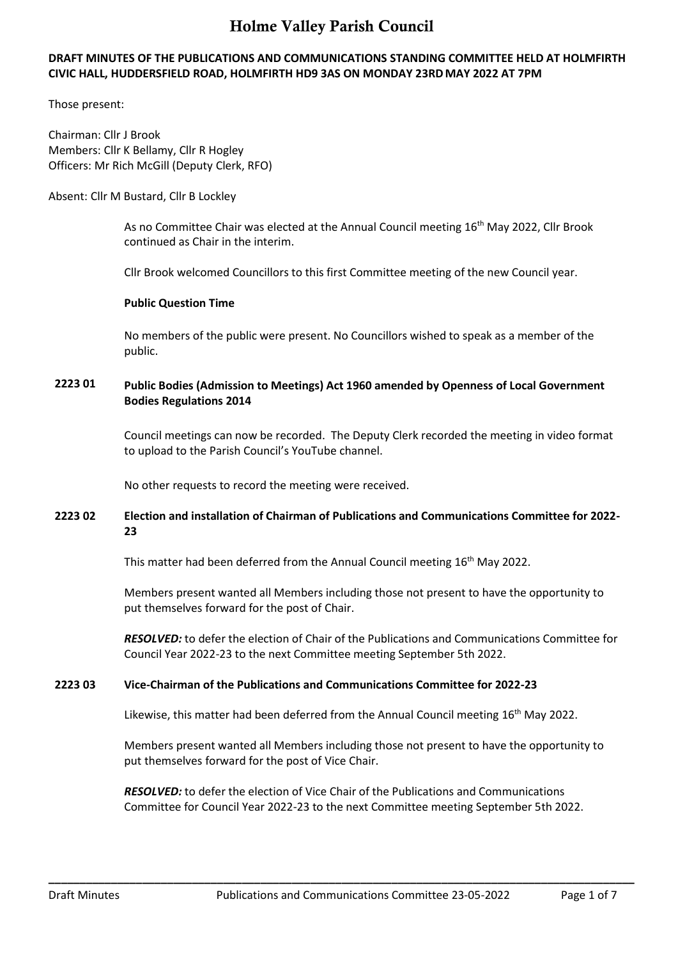### **DRAFT MINUTES OF THE PUBLICATIONS AND COMMUNICATIONS STANDING COMMITTEE HELD AT HOLMFIRTH CIVIC HALL, HUDDERSFIELD ROAD, HOLMFIRTH HD9 3AS ON MONDAY 23RDMAY 2022 AT 7PM**

Those present:

Chairman: Cllr J Brook Members: Cllr K Bellamy, Cllr R Hogley Officers: Mr Rich McGill (Deputy Clerk, RFO)

### Absent: Cllr M Bustard, Cllr B Lockley

As no Committee Chair was elected at the Annual Council meeting 16th May 2022, Cllr Brook continued as Chair in the interim.

Cllr Brook welcomed Councillors to this first Committee meeting of the new Council year.

### **Public Question Time**

No members of the public were present. No Councillors wished to speak as a member of the public.

# **2223 01 Public Bodies (Admission to Meetings) Act 1960 amended by Openness of Local Government Bodies Regulations 2014**

Council meetings can now be recorded. The Deputy Clerk recorded the meeting in video format to upload to the Parish Council's YouTube channel.

No other requests to record the meeting were received.

## **2223 02 Election and installation of Chairman of Publications and Communications Committee for 2022- 23**

This matter had been deferred from the Annual Council meeting 16<sup>th</sup> May 2022.

Members present wanted all Members including those not present to have the opportunity to put themselves forward for the post of Chair.

*RESOLVED:* to defer the election of Chair of the Publications and Communications Committee for Council Year 2022-23 to the next Committee meeting September 5th 2022.

## **2223 03 Vice-Chairman of the Publications and Communications Committee for 2022-23**

Likewise, this matter had been deferred from the Annual Council meeting  $16<sup>th</sup>$  May 2022.

Members present wanted all Members including those not present to have the opportunity to put themselves forward for the post of Vice Chair.

*RESOLVED:* to defer the election of Vice Chair of the Publications and Communications Committee for Council Year 2022-23 to the next Committee meeting September 5th 2022.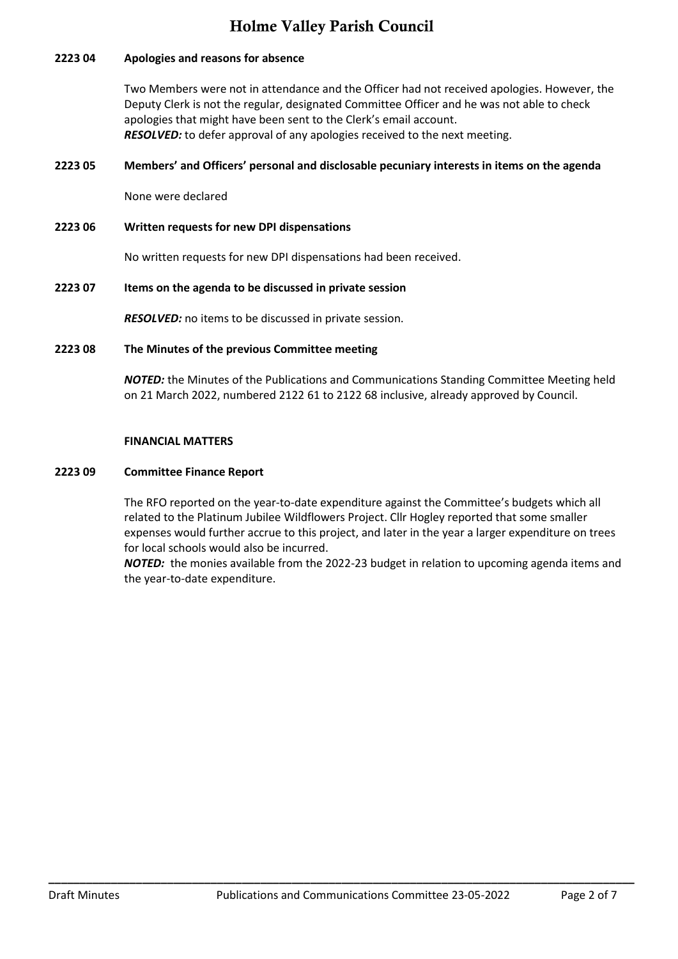### **2223 04 Apologies and reasons for absence**

Two Members were not in attendance and the Officer had not received apologies. However, the Deputy Clerk is not the regular, designated Committee Officer and he was not able to check apologies that might have been sent to the Clerk's email account. *RESOLVED:* to defer approval of any apologies received to the next meeting.

### **2223 05 Members' and Officers' personal and disclosable pecuniary interests in items on the agenda**

None were declared

**2223 06 Written requests for new DPI dispensations**

No written requests for new DPI dispensations had been received.

#### **2223 07 Items on the agenda to be discussed in private session**

*RESOLVED:* no items to be discussed in private session.

#### **2223 08 The Minutes of the previous Committee meeting**

*NOTED:* the Minutes of the Publications and Communications Standing Committee Meeting held on 21 March 2022, numbered 2122 61 to 2122 68 inclusive, already approved by Council.

#### **FINANCIAL MATTERS**

#### **2223 09 Committee Finance Report**

The RFO reported on the year-to-date expenditure against the Committee's budgets which all related to the Platinum Jubilee Wildflowers Project. Cllr Hogley reported that some smaller expenses would further accrue to this project, and later in the year a larger expenditure on trees for local schools would also be incurred.

*NOTED:* the monies available from the 2022-23 budget in relation to upcoming agenda items and the year-to-date expenditure.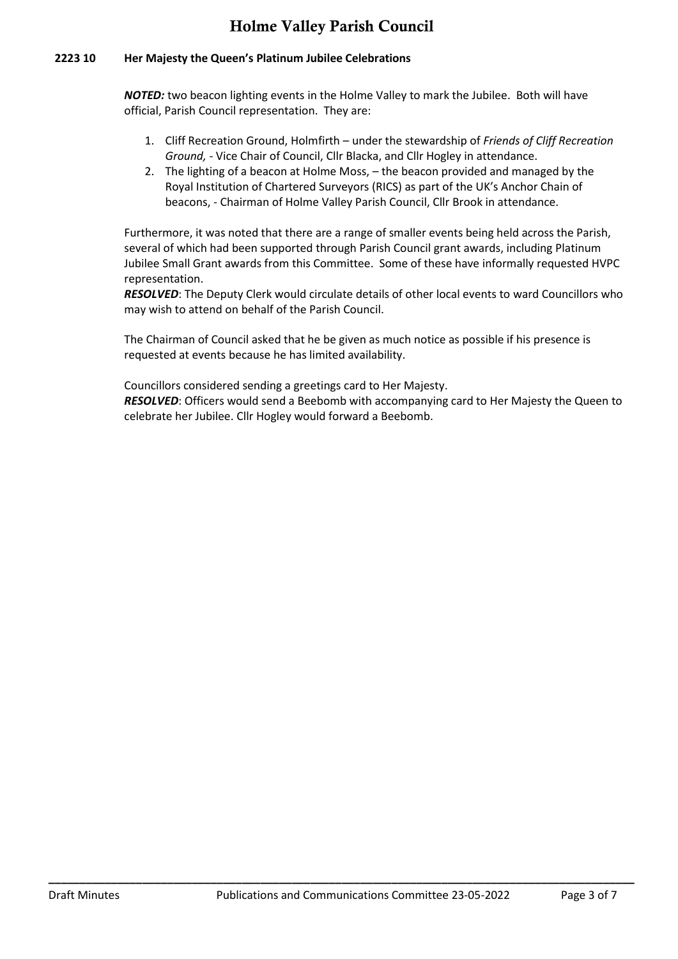### **2223 10 Her Majesty the Queen's Platinum Jubilee Celebrations**

*NOTED:* two beacon lighting events in the Holme Valley to mark the Jubilee. Both will have official, Parish Council representation. They are:

- 1. Cliff Recreation Ground, Holmfirth under the stewardship of *Friends of Cliff Recreation Ground, -* Vice Chair of Council, Cllr Blacka, and Cllr Hogley in attendance.
- 2. The lighting of a beacon at Holme Moss, the beacon provided and managed by the Royal Institution of Chartered Surveyors (RICS) as part of the UK's Anchor Chain of beacons, - Chairman of Holme Valley Parish Council, Cllr Brook in attendance.

Furthermore, it was noted that there are a range of smaller events being held across the Parish, several of which had been supported through Parish Council grant awards, including Platinum Jubilee Small Grant awards from this Committee. Some of these have informally requested HVPC representation.

*RESOLVED*: The Deputy Clerk would circulate details of other local events to ward Councillors who may wish to attend on behalf of the Parish Council.

The Chairman of Council asked that he be given as much notice as possible if his presence is requested at events because he has limited availability.

Councillors considered sending a greetings card to Her Majesty.

*RESOLVED*: Officers would send a Beebomb with accompanying card to Her Majesty the Queen to celebrate her Jubilee. Cllr Hogley would forward a Beebomb.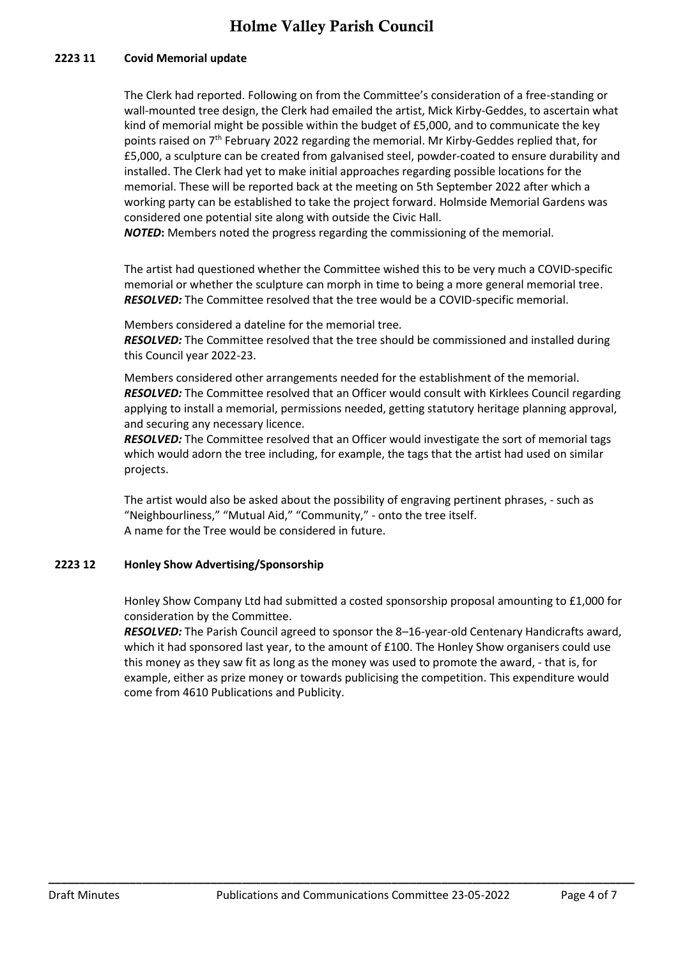### **2223 11 Covid Memorial update**

The Clerk had reported. Following on from the Committee's consideration of a free-standing or wall-mounted tree design, the Clerk had emailed the artist, Mick Kirby-Geddes, to ascertain what kind of memorial might be possible within the budget of £5,000, and to communicate the key points raised on  $7<sup>th</sup>$  February 2022 regarding the memorial. Mr Kirby-Geddes replied that, for £5,000, a sculpture can be created from galvanised steel, powder-coated to ensure durability and installed. The Clerk had yet to make initial approaches regarding possible locations for the memorial. These will be reported back at the meeting on 5th September 2022 after which a working party can be established to take the project forward. Holmside Memorial Gardens was considered one potential site along with outside the Civic Hall.

*NOTED***:** Members noted the progress regarding the commissioning of the memorial.

The artist had questioned whether the Committee wished this to be very much a COVID-specific memorial or whether the sculpture can morph in time to being a more general memorial tree. *RESOLVED:* The Committee resolved that the tree would be a COVID-specific memorial.

Members considered a dateline for the memorial tree.

*RESOLVED:* The Committee resolved that the tree should be commissioned and installed during this Council year 2022-23.

Members considered other arrangements needed for the establishment of the memorial. *RESOLVED:* The Committee resolved that an Officer would consult with Kirklees Council regarding applying to install a memorial, permissions needed, getting statutory heritage planning approval, and securing any necessary licence.

*RESOLVED:* The Committee resolved that an Officer would investigate the sort of memorial tags which would adorn the tree including, for example, the tags that the artist had used on similar projects.

The artist would also be asked about the possibility of engraving pertinent phrases, - such as "Neighbourliness," "Mutual Aid," "Community," - onto the tree itself. A name for the Tree would be considered in future.

#### **2223 12 Honley Show Advertising/Sponsorship**

Honley Show Company Ltd had submitted a costed sponsorship proposal amounting to £1,000 for consideration by the Committee.

*RESOLVED:* The Parish Council agreed to sponsor the 8–16-year-old Centenary Handicrafts award, which it had sponsored last year, to the amount of £100. The Honley Show organisers could use this money as they saw fit as long as the money was used to promote the award, - that is, for example, either as prize money or towards publicising the competition. This expenditure would come from 4610 Publications and Publicity.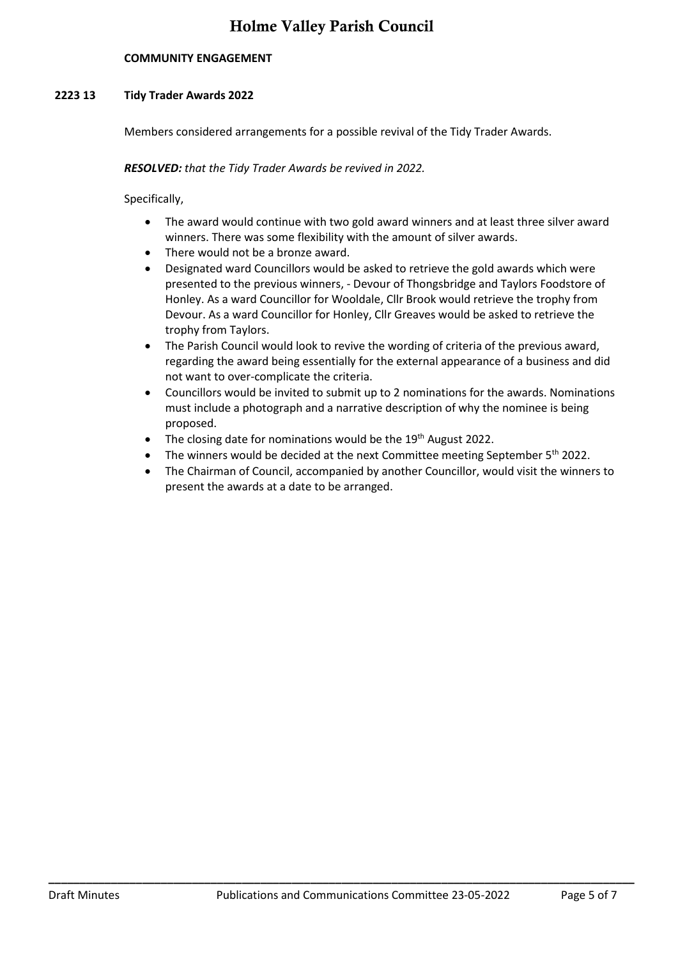### **COMMUNITY ENGAGEMENT**

#### **2223 13 Tidy Trader Awards 2022**

Members considered arrangements for a possible revival of the Tidy Trader Awards.

*RESOLVED: that the Tidy Trader Awards be revived in 2022.* 

Specifically,

- The award would continue with two gold award winners and at least three silver award winners. There was some flexibility with the amount of silver awards.
- There would not be a bronze award.
- Designated ward Councillors would be asked to retrieve the gold awards which were presented to the previous winners, - Devour of Thongsbridge and Taylors Foodstore of Honley. As a ward Councillor for Wooldale, Cllr Brook would retrieve the trophy from Devour. As a ward Councillor for Honley, Cllr Greaves would be asked to retrieve the trophy from Taylors.
- The Parish Council would look to revive the wording of criteria of the previous award, regarding the award being essentially for the external appearance of a business and did not want to over-complicate the criteria.
- Councillors would be invited to submit up to 2 nominations for the awards. Nominations must include a photograph and a narrative description of why the nominee is being proposed.
- The closing date for nominations would be the 19<sup>th</sup> August 2022.
- The winners would be decided at the next Committee meeting September  $5<sup>th</sup>$  2022.
- The Chairman of Council, accompanied by another Councillor, would visit the winners to present the awards at a date to be arranged.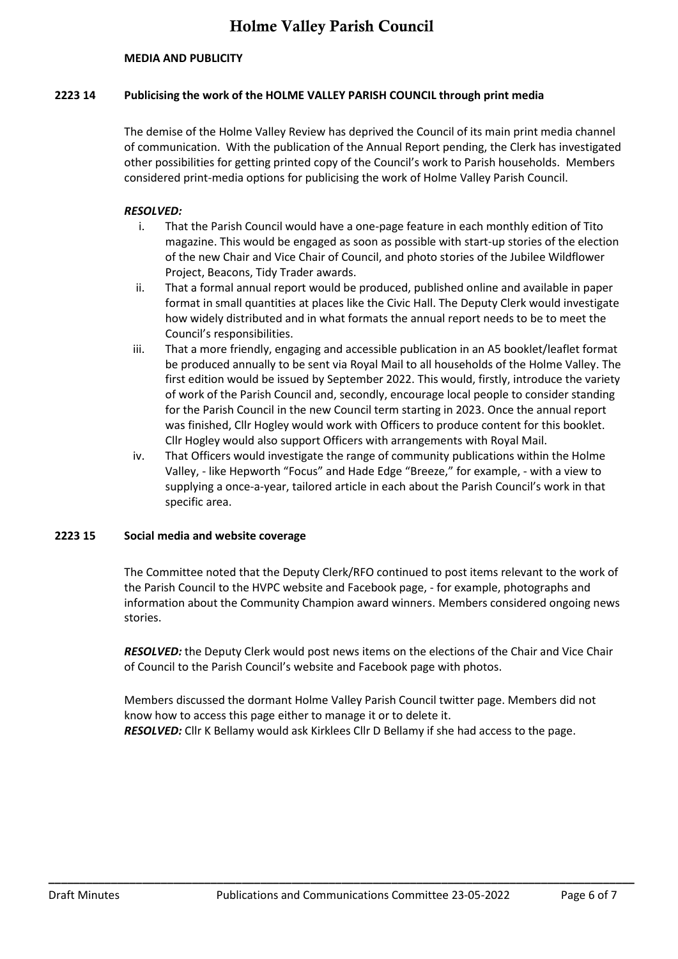#### **MEDIA AND PUBLICITY**

#### **2223 14 Publicising the work of the HOLME VALLEY PARISH COUNCIL through print media**

The demise of the Holme Valley Review has deprived the Council of its main print media channel of communication. With the publication of the Annual Report pending, the Clerk has investigated other possibilities for getting printed copy of the Council's work to Parish households. Members considered print-media options for publicising the work of Holme Valley Parish Council.

#### *RESOLVED:*

- i. That the Parish Council would have a one-page feature in each monthly edition of Tito magazine. This would be engaged as soon as possible with start-up stories of the election of the new Chair and Vice Chair of Council, and photo stories of the Jubilee Wildflower Project, Beacons, Tidy Trader awards.
- ii. That a formal annual report would be produced, published online and available in paper format in small quantities at places like the Civic Hall. The Deputy Clerk would investigate how widely distributed and in what formats the annual report needs to be to meet the Council's responsibilities.
- iii. That a more friendly, engaging and accessible publication in an A5 booklet/leaflet format be produced annually to be sent via Royal Mail to all households of the Holme Valley. The first edition would be issued by September 2022. This would, firstly, introduce the variety of work of the Parish Council and, secondly, encourage local people to consider standing for the Parish Council in the new Council term starting in 2023. Once the annual report was finished, Cllr Hogley would work with Officers to produce content for this booklet. Cllr Hogley would also support Officers with arrangements with Royal Mail.
- iv. That Officers would investigate the range of community publications within the Holme Valley, - like Hepworth "Focus" and Hade Edge "Breeze," for example, - with a view to supplying a once-a-year, tailored article in each about the Parish Council's work in that specific area.

#### **2223 15 Social media and website coverage**

The Committee noted that the Deputy Clerk/RFO continued to post items relevant to the work of the Parish Council to the HVPC website and Facebook page, - for example, photographs and information about the Community Champion award winners. Members considered ongoing news stories.

*RESOLVED:* the Deputy Clerk would post news items on the elections of the Chair and Vice Chair of Council to the Parish Council's website and Facebook page with photos.

Members discussed the dormant Holme Valley Parish Council twitter page. Members did not know how to access this page either to manage it or to delete it. *RESOLVED:* Cllr K Bellamy would ask Kirklees Cllr D Bellamy if she had access to the page.